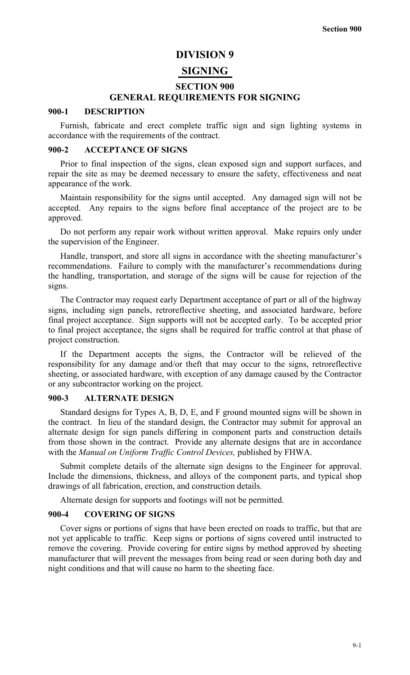## **DIVISION 9**

# **SIGNING**

#### **SECTION 900**

#### **GENERAL REQUIREMENTS FOR SIGNING**

## **900-1 DESCRIPTION**

Furnish, fabricate and erect complete traffic sign and sign lighting systems in accordance with the requirements of the contract.

## **900-2 ACCEPTANCE OF SIGNS**

Prior to final inspection of the signs, clean exposed sign and support surfaces, and repair the site as may be deemed necessary to ensure the safety, effectiveness and neat appearance of the work.

Maintain responsibility for the signs until accepted. Any damaged sign will not be accepted. Any repairs to the signs before final acceptance of the project are to be approved.

Do not perform any repair work without written approval. Make repairs only under the supervision of the Engineer.

Handle, transport, and store all signs in accordance with the sheeting manufacturer's recommendations. Failure to comply with the manufacturer's recommendations during the handling, transportation, and storage of the signs will be cause for rejection of the signs.

The Contractor may request early Department acceptance of part or all of the highway signs, including sign panels, retroreflective sheeting, and associated hardware, before final project acceptance. Sign supports will not be accepted early. To be accepted prior to final project acceptance, the signs shall be required for traffic control at that phase of project construction.

If the Department accepts the signs, the Contractor will be relieved of the responsibility for any damage and/or theft that may occur to the signs, retroreflective sheeting, or associated hardware, with exception of any damage caused by the Contractor or any subcontractor working on the project.

#### **900-3 ALTERNATE DESIGN**

Standard designs for Types A, B, D, E, and F ground mounted signs will be shown in the contract. In lieu of the standard design, the Contractor may submit for approval an alternate design for sign panels differing in component parts and construction details from those shown in the contract. Provide any alternate designs that are in accordance with the *Manual on Uniform Traffic Control Devices,* published by FHWA.

Submit complete details of the alternate sign designs to the Engineer for approval. Include the dimensions, thickness, and alloys of the component parts, and typical shop drawings of all fabrication, erection, and construction details.

Alternate design for supports and footings will not be permitted.

## **900-4 COVERING OF SIGNS**

Cover signs or portions of signs that have been erected on roads to traffic, but that are not yet applicable to traffic. Keep signs or portions of signs covered until instructed to remove the covering. Provide covering for entire signs by method approved by sheeting manufacturer that will prevent the messages from being read or seen during both day and night conditions and that will cause no harm to the sheeting face.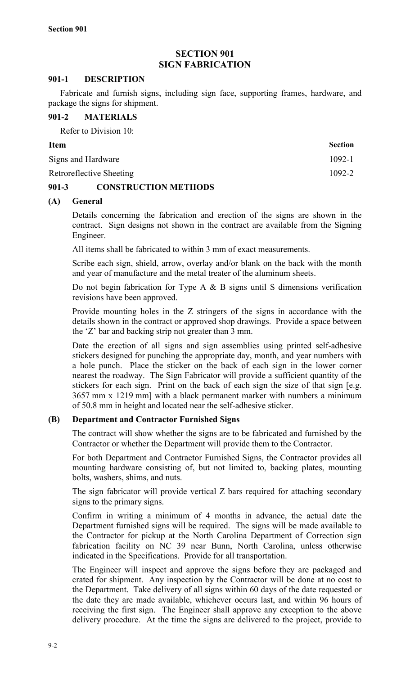# **SECTION 901 SIGN FABRICATION**

## **901-1 DESCRIPTION**

Fabricate and furnish signs, including sign face, supporting frames, hardware, and package the signs for shipment.

## **901-2 MATERIALS**

Refer to Division 10:

| <b>Item</b>              | <b>Section</b> |
|--------------------------|----------------|
| Signs and Hardware       | $1092 - 1$     |
| Retroreflective Sheeting | 1092-2         |

# **901-3 CONSTRUCTION METHODS**

# **(A) General**

Details concerning the fabrication and erection of the signs are shown in the contract. Sign designs not shown in the contract are available from the Signing Engineer.

All items shall be fabricated to within 3 mm of exact measurements.

Scribe each sign, shield, arrow, overlay and/or blank on the back with the month and year of manufacture and the metal treater of the aluminum sheets.

Do not begin fabrication for Type A  $\&$  B signs until S dimensions verification revisions have been approved.

Provide mounting holes in the Z stringers of the signs in accordance with the details shown in the contract or approved shop drawings. Provide a space between the 'Z' bar and backing strip not greater than 3 mm.

Date the erection of all signs and sign assemblies using printed self-adhesive stickers designed for punching the appropriate day, month, and year numbers with a hole punch. Place the sticker on the back of each sign in the lower corner nearest the roadway. The Sign Fabricator will provide a sufficient quantity of the stickers for each sign. Print on the back of each sign the size of that sign [e.g. 3657 mm x 1219 mm] with a black permanent marker with numbers a minimum of 50.8 mm in height and located near the self-adhesive sticker.

# **(B) Department and Contractor Furnished Signs**

The contract will show whether the signs are to be fabricated and furnished by the Contractor or whether the Department will provide them to the Contractor.

For both Department and Contractor Furnished Signs, the Contractor provides all mounting hardware consisting of, but not limited to, backing plates, mounting bolts, washers, shims, and nuts.

The sign fabricator will provide vertical Z bars required for attaching secondary signs to the primary signs.

Confirm in writing a minimum of 4 months in advance, the actual date the Department furnished signs will be required. The signs will be made available to the Contractor for pickup at the North Carolina Department of Correction sign fabrication facility on NC 39 near Bunn, North Carolina, unless otherwise indicated in the Specifications. Provide for all transportation.

The Engineer will inspect and approve the signs before they are packaged and crated for shipment. Any inspection by the Contractor will be done at no cost to the Department. Take delivery of all signs within 60 days of the date requested or the date they are made available, whichever occurs last, and within 96 hours of receiving the first sign. The Engineer shall approve any exception to the above delivery procedure. At the time the signs are delivered to the project, provide to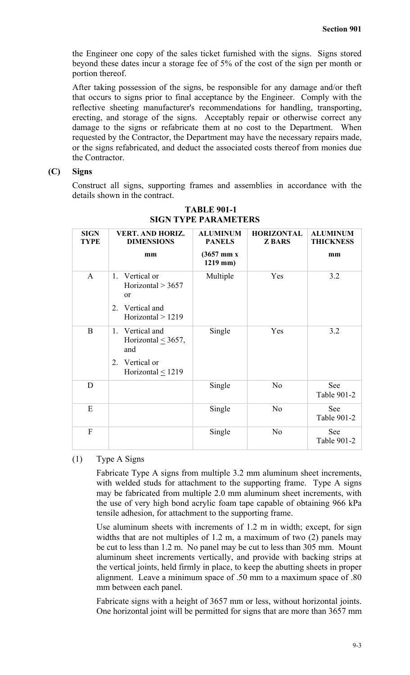the Engineer one copy of the sales ticket furnished with the signs. Signs stored beyond these dates incur a storage fee of 5% of the cost of the sign per month or portion thereof.

After taking possession of the signs, be responsible for any damage and/or theft that occurs to signs prior to final acceptance by the Engineer. Comply with the reflective sheeting manufacturer's recommendations for handling, transporting, erecting, and storage of the signs. Acceptably repair or otherwise correct any damage to the signs or refabricate them at no cost to the Department. When requested by the Contractor, the Department may have the necessary repairs made, or the signs refabricated, and deduct the associated costs thereof from monies due the Contractor.

## **(C) Signs**

Construct all signs, supporting frames and assemblies in accordance with the details shown in the contract.

| <b>SIGN</b><br><b>TYPE</b> | <b>VERT. AND HORIZ.</b><br><b>DIMENSIONS</b>                                                        | <b>ALUMINUM</b><br><b>PANELS</b>                | <b>HORIZONTAL</b><br><b>ZBARS</b> | <b>ALUMINUM</b><br><b>THICKNESS</b> |
|----------------------------|-----------------------------------------------------------------------------------------------------|-------------------------------------------------|-----------------------------------|-------------------------------------|
|                            | mm                                                                                                  | $(3657 \; \text{mm} \; \text{x})$<br>$1219$ mm) |                                   | mm                                  |
| $\mathbf{A}$               | Vertical or<br>1.<br>Horizontal $> 3657$<br><sub>or</sub><br>2. Vertical and<br>Horizontal $> 1219$ | Multiple                                        | Yes                               | 3.2                                 |
| $\bf{B}$                   | 1. Vertical and<br>Horizontal $\leq$ 3657,<br>and<br>Vertical or<br>2<br>Horizontal $<$ 1219        | Single                                          | Yes                               | 3.2                                 |
| D                          |                                                                                                     | Single                                          | N <sub>0</sub>                    | See<br>Table 901-2                  |
| E                          |                                                                                                     | Single                                          | N <sub>0</sub>                    | See<br>Table 901-2                  |
| $\mathbf{F}$               |                                                                                                     | Single                                          | N <sub>0</sub>                    | See<br>Table 901-2                  |

# **TABLE 901-1 SIGN TYPE PARAMETERS**

(1) Type A Signs

Fabricate Type A signs from multiple 3.2 mm aluminum sheet increments, with welded studs for attachment to the supporting frame. Type A signs may be fabricated from multiple 2.0 mm aluminum sheet increments, with the use of very high bond acrylic foam tape capable of obtaining 966 kPa tensile adhesion, for attachment to the supporting frame.

Use aluminum sheets with increments of 1.2 m in width; except, for sign widths that are not multiples of 1.2 m, a maximum of two (2) panels may be cut to less than 1.2 m. No panel may be cut to less than 305 mm. Mount aluminum sheet increments vertically, and provide with backing strips at the vertical joints, held firmly in place, to keep the abutting sheets in proper alignment. Leave a minimum space of .50 mm to a maximum space of .80 mm between each panel.

Fabricate signs with a height of 3657 mm or less, without horizontal joints. One horizontal joint will be permitted for signs that are more than 3657 mm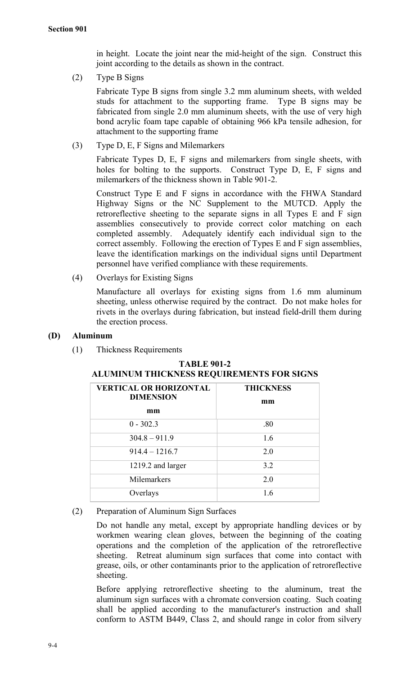in height. Locate the joint near the mid-height of the sign. Construct this joint according to the details as shown in the contract.

(2) Type B Signs

Fabricate Type B signs from single 3.2 mm aluminum sheets, with welded studs for attachment to the supporting frame. Type B signs may be fabricated from single 2.0 mm aluminum sheets, with the use of very high bond acrylic foam tape capable of obtaining 966 kPa tensile adhesion, for attachment to the supporting frame

(3) Type D, E, F Signs and Milemarkers

Fabricate Types D, E, F signs and milemarkers from single sheets, with holes for bolting to the supports. Construct Type D, E, F signs and milemarkers of the thickness shown in Table 901-2.

Construct Type E and F signs in accordance with the FHWA Standard Highway Signs or the NC Supplement to the MUTCD. Apply the retroreflective sheeting to the separate signs in all Types E and F sign assemblies consecutively to provide correct color matching on each completed assembly. Adequately identify each individual sign to the correct assembly. Following the erection of Types E and F sign assemblies, leave the identification markings on the individual signs until Department personnel have verified compliance with these requirements.

(4) Overlays for Existing Signs

Manufacture all overlays for existing signs from 1.6 mm aluminum sheeting, unless otherwise required by the contract. Do not make holes for rivets in the overlays during fabrication, but instead field-drill them during the erection process.

# **(D) Aluminum**

(1) Thickness Requirements

| <b>VERTICAL OR HORIZONTAL</b><br><b>DIMENSION</b> | <b>THICKNESS</b><br>mm |
|---------------------------------------------------|------------------------|
| mm                                                |                        |
| $0 - 302.3$                                       | .80                    |
| $304.8 - 911.9$                                   | 1.6                    |
| $914.4 - 1216.7$                                  | 2.0                    |
| 1219.2 and larger                                 | 3.2                    |
| Milemarkers                                       | 2.0                    |
| Overlays                                          | 1.6                    |

**TABLE 901-2 ALUMINUM THICKNESS REQUIREMENTS FOR SIGNS**

(2) Preparation of Aluminum Sign Surfaces

Do not handle any metal, except by appropriate handling devices or by workmen wearing clean gloves, between the beginning of the coating operations and the completion of the application of the retroreflective sheeting. Retreat aluminum sign surfaces that come into contact with grease, oils, or other contaminants prior to the application of retroreflective sheeting.

Before applying retroreflective sheeting to the aluminum, treat the aluminum sign surfaces with a chromate conversion coating. Such coating shall be applied according to the manufacturer's instruction and shall conform to ASTM B449, Class 2, and should range in color from silvery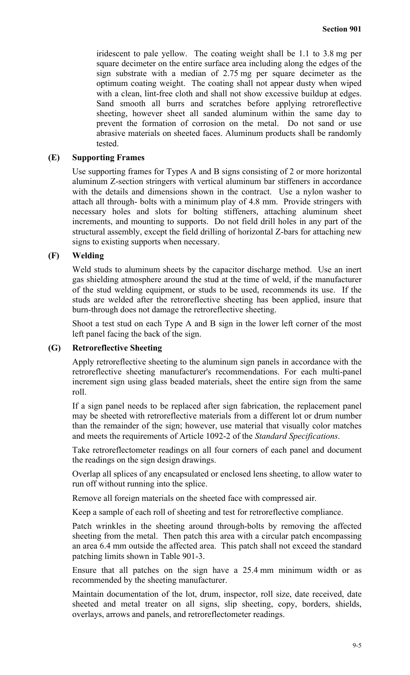iridescent to pale yellow. The coating weight shall be 1.1 to 3.8 mg per square decimeter on the entire surface area including along the edges of the sign substrate with a median of 2.75 mg per square decimeter as the optimum coating weight. The coating shall not appear dusty when wiped with a clean, lint-free cloth and shall not show excessive buildup at edges. Sand smooth all burrs and scratches before applying retroreflective sheeting, however sheet all sanded aluminum within the same day to prevent the formation of corrosion on the metal. Do not sand or use abrasive materials on sheeted faces. Aluminum products shall be randomly tested.

## **(E) Supporting Frames**

Use supporting frames for Types A and B signs consisting of 2 or more horizontal aluminum Z-section stringers with vertical aluminum bar stiffeners in accordance with the details and dimensions shown in the contract. Use a nylon washer to attach all through- bolts with a minimum play of 4.8 mm. Provide stringers with necessary holes and slots for bolting stiffeners, attaching aluminum sheet increments, and mounting to supports. Do not field drill holes in any part of the structural assembly, except the field drilling of horizontal Z-bars for attaching new signs to existing supports when necessary.

#### **(F) Welding**

Weld studs to aluminum sheets by the capacitor discharge method. Use an inert gas shielding atmosphere around the stud at the time of weld, if the manufacturer of the stud welding equipment, or studs to be used, recommends its use. If the studs are welded after the retroreflective sheeting has been applied, insure that burn-through does not damage the retroreflective sheeting.

Shoot a test stud on each Type A and B sign in the lower left corner of the most left panel facing the back of the sign.

## **(G) Retroreflective Sheeting**

Apply retroreflective sheeting to the aluminum sign panels in accordance with the retroreflective sheeting manufacturer's recommendations. For each multi-panel increment sign using glass beaded materials, sheet the entire sign from the same roll.

If a sign panel needs to be replaced after sign fabrication, the replacement panel may be sheeted with retroreflective materials from a different lot or drum number than the remainder of the sign; however, use material that visually color matches and meets the requirements of Article 1092-2 of the *Standard Specifications*.

Take retroreflectometer readings on all four corners of each panel and document the readings on the sign design drawings.

Overlap all splices of any encapsulated or enclosed lens sheeting, to allow water to run off without running into the splice.

Remove all foreign materials on the sheeted face with compressed air.

Keep a sample of each roll of sheeting and test for retroreflective compliance.

Patch wrinkles in the sheeting around through-bolts by removing the affected sheeting from the metal. Then patch this area with a circular patch encompassing an area 6.4 mm outside the affected area. This patch shall not exceed the standard patching limits shown in Table 901-3.

Ensure that all patches on the sign have a 25.4 mm minimum width or as recommended by the sheeting manufacturer.

Maintain documentation of the lot, drum, inspector, roll size, date received, date sheeted and metal treater on all signs, slip sheeting, copy, borders, shields, overlays, arrows and panels, and retroreflectometer readings.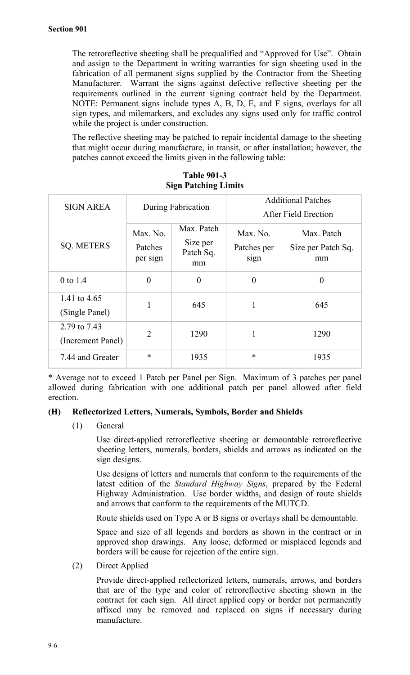The retroreflective sheeting shall be prequalified and "Approved for Use". Obtain and assign to the Department in writing warranties for sign sheeting used in the fabrication of all permanent signs supplied by the Contractor from the Sheeting Manufacturer. Warrant the signs against defective reflective sheeting per the requirements outlined in the current signing contract held by the Department. NOTE: Permanent signs include types A, B, D, E, and F signs, overlays for all sign types, and milemarkers, and excludes any signs used only for traffic control while the project is under construction.

The reflective sheeting may be patched to repair incidental damage to the sheeting that might occur during manufacture, in transit, or after installation; however, the patches cannot exceed the limits given in the following table:

| <b>SIGN AREA</b>                  | During Fabrication              |                                           | <b>Additional Patches</b><br>After Field Erection |                                        |
|-----------------------------------|---------------------------------|-------------------------------------------|---------------------------------------------------|----------------------------------------|
| <b>SQ. METERS</b>                 | Max. No.<br>Patches<br>per sign | Max. Patch<br>Size per<br>Patch Sq.<br>mm | Max. No.<br>Patches per<br>sign                   | Max. Patch<br>Size per Patch Sq.<br>mm |
| 0 to 1.4                          | $\theta$                        | $\theta$                                  | $\theta$                                          | 0                                      |
| 1.41 to 4.65<br>(Single Panel)    | 1                               | 645                                       | 1                                                 | 645                                    |
| 2.79 to 7.43<br>(Increment Panel) | $\overline{2}$                  | 1290                                      | 1                                                 | 1290                                   |
| 7.44 and Greater                  | $\ast$                          | 1935                                      | *                                                 | 1935                                   |

**Table 901-3 Sign Patching Limits**

\* Average not to exceed 1 Patch per Panel per Sign. Maximum of 3 patches per panel allowed during fabrication with one additional patch per panel allowed after field erection.

### **(H) Reflectorized Letters, Numerals, Symbols, Border and Shields**

(1) General

Use direct-applied retroreflective sheeting or demountable retroreflective sheeting letters, numerals, borders, shields and arrows as indicated on the sign designs.

Use designs of letters and numerals that conform to the requirements of the latest edition of the *Standard Highway Signs*, prepared by the Federal Highway Administration. Use border widths, and design of route shields and arrows that conform to the requirements of the MUTCD.

Route shields used on Type A or B signs or overlays shall be demountable.

Space and size of all legends and borders as shown in the contract or in approved shop drawings. Any loose, deformed or misplaced legends and borders will be cause for rejection of the entire sign.

(2) Direct Applied

Provide direct-applied reflectorized letters, numerals, arrows, and borders that are of the type and color of retroreflective sheeting shown in the contract for each sign. All direct applied copy or border not permanently affixed may be removed and replaced on signs if necessary during manufacture.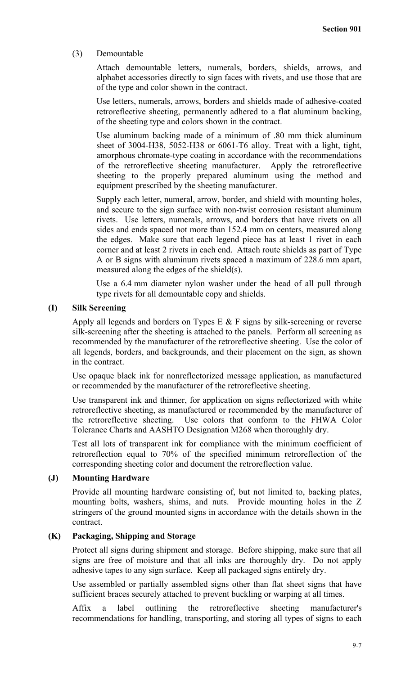## (3) Demountable

Attach demountable letters, numerals, borders, shields, arrows, and alphabet accessories directly to sign faces with rivets, and use those that are of the type and color shown in the contract.

Use letters, numerals, arrows, borders and shields made of adhesive-coated retroreflective sheeting, permanently adhered to a flat aluminum backing, of the sheeting type and colors shown in the contract.

Use aluminum backing made of a minimum of .80 mm thick aluminum sheet of 3004-H38, 5052-H38 or 6061-T6 alloy. Treat with a light, tight, amorphous chromate-type coating in accordance with the recommendations of the retroreflective sheeting manufacturer. Apply the retroreflective sheeting to the properly prepared aluminum using the method and equipment prescribed by the sheeting manufacturer.

Supply each letter, numeral, arrow, border, and shield with mounting holes, and secure to the sign surface with non-twist corrosion resistant aluminum rivets. Use letters, numerals, arrows, and borders that have rivets on all sides and ends spaced not more than 152.4 mm on centers, measured along the edges. Make sure that each legend piece has at least 1 rivet in each corner and at least 2 rivets in each end. Attach route shields as part of Type A or B signs with aluminum rivets spaced a maximum of 228.6 mm apart, measured along the edges of the shield(s).

Use a 6.4 mm diameter nylon washer under the head of all pull through type rivets for all demountable copy and shields.

# **(I) Silk Screening**

Apply all legends and borders on Types E  $&$  F signs by silk-screening or reverse silk-screening after the sheeting is attached to the panels. Perform all screening as recommended by the manufacturer of the retroreflective sheeting. Use the color of all legends, borders, and backgrounds, and their placement on the sign, as shown in the contract.

Use opaque black ink for nonreflectorized message application, as manufactured or recommended by the manufacturer of the retroreflective sheeting.

Use transparent ink and thinner, for application on signs reflectorized with white retroreflective sheeting, as manufactured or recommended by the manufacturer of the retroreflective sheeting. Use colors that conform to the FHWA Color Tolerance Charts and AASHTO Designation M268 when thoroughly dry.

Test all lots of transparent ink for compliance with the minimum coefficient of retroreflection equal to 70% of the specified minimum retroreflection of the corresponding sheeting color and document the retroreflection value.

#### **(J) Mounting Hardware**

Provide all mounting hardware consisting of, but not limited to, backing plates, mounting bolts, washers, shims, and nuts. Provide mounting holes in the Z stringers of the ground mounted signs in accordance with the details shown in the contract.

# **(K) Packaging, Shipping and Storage**

Protect all signs during shipment and storage. Before shipping, make sure that all signs are free of moisture and that all inks are thoroughly dry. Do not apply adhesive tapes to any sign surface. Keep all packaged signs entirely dry.

Use assembled or partially assembled signs other than flat sheet signs that have sufficient braces securely attached to prevent buckling or warping at all times.

Affix a label outlining the retroreflective sheeting manufacturer's recommendations for handling, transporting, and storing all types of signs to each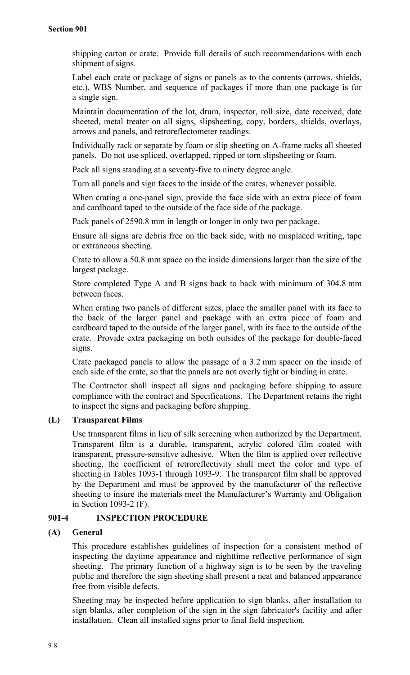shipping carton or crate. Provide full details of such recommendations with each shipment of signs.

Label each crate or package of signs or panels as to the contents (arrows, shields, etc.), WBS Number, and sequence of packages if more than one package is for a single sign.

Maintain documentation of the lot, drum, inspector, roll size, date received, date sheeted, metal treater on all signs, slipsheeting, copy, borders, shields, overlays, arrows and panels, and retroreflectometer readings.

Individually rack or separate by foam or slip sheeting on A-frame racks all sheeted panels. Do not use spliced, overlapped, ripped or torn slipsheeting or foam.

Pack all signs standing at a seventy-five to ninety degree angle.

Turn all panels and sign faces to the inside of the crates, whenever possible.

When crating a one-panel sign, provide the face side with an extra piece of foam and cardboard taped to the outside of the face side of the package.

Pack panels of 2590.8 mm in length or longer in only two per package.

Ensure all signs are debris free on the back side, with no misplaced writing, tape or extraneous sheeting.

Crate to allow a 50.8 mm space on the inside dimensions larger than the size of the largest package.

Store completed Type A and B signs back to back with minimum of 304.8 mm between faces.

When crating two panels of different sizes, place the smaller panel with its face to the back of the larger panel and package with an extra piece of foam and cardboard taped to the outside of the larger panel, with its face to the outside of the crate. Provide extra packaging on both outsides of the package for double-faced signs.

Crate packaged panels to allow the passage of a 3.2 mm spacer on the inside of each side of the crate, so that the panels are not overly tight or binding in crate.

The Contractor shall inspect all signs and packaging before shipping to assure compliance with the contract and Specifications. The Department retains the right to inspect the signs and packaging before shipping.

# **(L) Transparent Films**

Use transparent films in lieu of silk screening when authorized by the Department. Transparent film is a durable, transparent, acrylic colored film coated with transparent, pressure-sensitive adhesive. When the film is applied over reflective sheeting, the coefficient of retroreflectivity shall meet the color and type of sheeting in Tables 1093-1 through 1093-9. The transparent film shall be approved by the Department and must be approved by the manufacturer of the reflective sheeting to insure the materials meet the Manufacturer's Warranty and Obligation in Section 1093-2 (F).

# **901-4 INSPECTION PROCEDURE**

# **(A) General**

This procedure establishes guidelines of inspection for a consistent method of inspecting the daytime appearance and nighttime reflective performance of sign sheeting. The primary function of a highway sign is to be seen by the traveling public and therefore the sign sheeting shall present a neat and balanced appearance free from visible defects.

Sheeting may be inspected before application to sign blanks, after installation to sign blanks, after completion of the sign in the sign fabricator's facility and after installation. Clean all installed signs prior to final field inspection.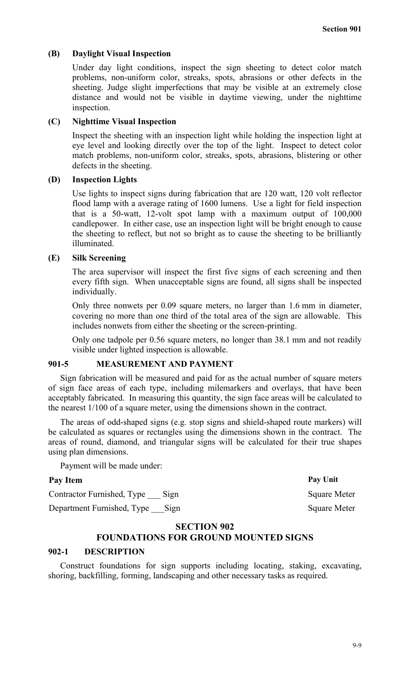## **(B) Daylight Visual Inspection**

Under day light conditions, inspect the sign sheeting to detect color match problems, non-uniform color, streaks, spots, abrasions or other defects in the sheeting. Judge slight imperfections that may be visible at an extremely close distance and would not be visible in daytime viewing, under the nighttime inspection.

# **(C) Nighttime Visual Inspection**

Inspect the sheeting with an inspection light while holding the inspection light at eye level and looking directly over the top of the light. Inspect to detect color match problems, non-uniform color, streaks, spots, abrasions, blistering or other defects in the sheeting.

#### **(D) Inspection Lights**

Use lights to inspect signs during fabrication that are 120 watt, 120 volt reflector flood lamp with a average rating of 1600 lumens. Use a light for field inspection that is a 50-watt, 12-volt spot lamp with a maximum output of 100,000 candlepower. In either case, use an inspection light will be bright enough to cause the sheeting to reflect, but not so bright as to cause the sheeting to be brilliantly illuminated.

### **(E) Silk Screening**

The area supervisor will inspect the first five signs of each screening and then every fifth sign. When unacceptable signs are found, all signs shall be inspected individually.

Only three nonwets per 0.09 square meters, no larger than 1.6 mm in diameter, covering no more than one third of the total area of the sign are allowable. This includes nonwets from either the sheeting or the screen-printing.

Only one tadpole per 0.56 square meters, no longer than 38.1 mm and not readily visible under lighted inspection is allowable.

## **901-5 MEASUREMENT AND PAYMENT**

Sign fabrication will be measured and paid for as the actual number of square meters of sign face areas of each type, including milemarkers and overlays, that have been acceptably fabricated. In measuring this quantity, the sign face areas will be calculated to the nearest 1/100 of a square meter, using the dimensions shown in the contract.

The areas of odd-shaped signs (e.g. stop signs and shield-shaped route markers) will be calculated as squares or rectangles using the dimensions shown in the contract. The areas of round, diamond, and triangular signs will be calculated for their true shapes using plan dimensions.

Payment will be made under:

# **Pay Item Pay Unit**

Contractor Furnished, Type Sign Square Meter

Department Furnished, Type Sign Square Meter

#### **SECTION 902**

# **FOUNDATIONS FOR GROUND MOUNTED SIGNS**

## **902-1 DESCRIPTION**

Construct foundations for sign supports including locating, staking, excavating, shoring, backfilling, forming, landscaping and other necessary tasks as required.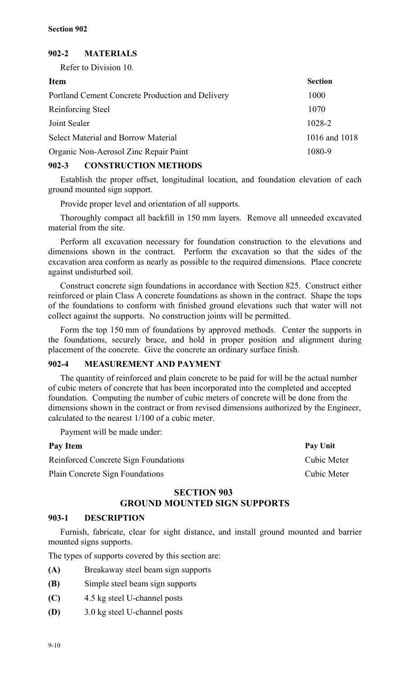# **902-2 MATERIALS**

Refer to Division 10.

| <b>Item</b>                                      | <b>Section</b> |
|--------------------------------------------------|----------------|
| Portland Cement Concrete Production and Delivery | 1000           |
| Reinforcing Steel                                | 1070           |
| Joint Sealer                                     | 1028-2         |
| <b>Select Material and Borrow Material</b>       | 1016 and 1018  |
| Organic Non-Aerosol Zinc Repair Paint            | 1080-9         |
|                                                  |                |

# **902-3 CONSTRUCTION METHODS**

Establish the proper offset, longitudinal location, and foundation elevation of each ground mounted sign support.

Provide proper level and orientation of all supports.

Thoroughly compact all backfill in 150 mm layers. Remove all unneeded excavated material from the site.

Perform all excavation necessary for foundation construction to the elevations and dimensions shown in the contract. Perform the excavation so that the sides of the excavation area conform as nearly as possible to the required dimensions. Place concrete against undisturbed soil.

Construct concrete sign foundations in accordance with Section 825. Construct either reinforced or plain Class A concrete foundations as shown in the contract. Shape the tops of the foundations to conform with finished ground elevations such that water will not collect against the supports. No construction joints will be permitted.

Form the top 150 mm of foundations by approved methods. Center the supports in the foundations, securely brace, and hold in proper position and alignment during placement of the concrete. Give the concrete an ordinary surface finish.

# **902-4 MEASUREMENT AND PAYMENT**

The quantity of reinforced and plain concrete to be paid for will be the actual number of cubic meters of concrete that has been incorporated into the completed and accepted foundation. Computing the number of cubic meters of concrete will be done from the dimensions shown in the contract or from revised dimensions authorized by the Engineer, calculated to the nearest 1/100 of a cubic meter.

Payment will be made under:

| Pay Item                             | Pay Unit    |
|--------------------------------------|-------------|
| Reinforced Concrete Sign Foundations | Cubic Meter |
| Plain Concrete Sign Foundations      | Cubic Meter |

# **SECTION 903 GROUND MOUNTED SIGN SUPPORTS**

# **903-1 DESCRIPTION**

Furnish, fabricate, clear for sight distance, and install ground mounted and barrier mounted signs supports.

The types of supports covered by this section are:

- **(A)** Breakaway steel beam sign supports
- **(B)** Simple steel beam sign supports
- **(C)** 4.5 kg steel U-channel posts
- **(D)** 3.0 kg steel U-channel posts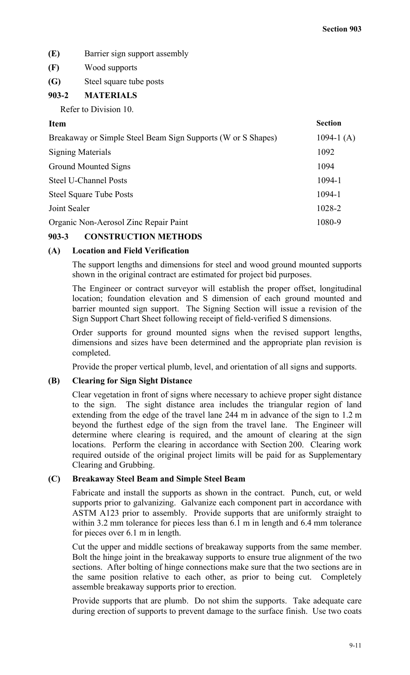- **(E)** Barrier sign support assembly
- **(F)** Wood supports
- **(G)** Steel square tube posts

# **903-2 MATERIALS**

Refer to Division 10.

# **Item Section**

| Breakaway or Simple Steel Beam Sign Supports (W or S Shapes) | 1094-1 $(A)$ |
|--------------------------------------------------------------|--------------|
| <b>Signing Materials</b>                                     | 1092         |
| <b>Ground Mounted Signs</b>                                  | 1094         |
| <b>Steel U-Channel Posts</b>                                 | 1094-1       |
| <b>Steel Square Tube Posts</b>                               | 1094-1       |
| Joint Sealer                                                 | 1028-2       |
| Organic Non-Aerosol Zinc Repair Paint                        | 1080-9       |
|                                                              |              |

# **903-3 CONSTRUCTION METHODS**

# **(A) Location and Field Verification**

The support lengths and dimensions for steel and wood ground mounted supports shown in the original contract are estimated for project bid purposes.

The Engineer or contract surveyor will establish the proper offset, longitudinal location; foundation elevation and S dimension of each ground mounted and barrier mounted sign support. The Signing Section will issue a revision of the Sign Support Chart Sheet following receipt of field-verified S dimensions.

Order supports for ground mounted signs when the revised support lengths, dimensions and sizes have been determined and the appropriate plan revision is completed.

Provide the proper vertical plumb, level, and orientation of all signs and supports.

# **(B) Clearing for Sign Sight Distance**

Clear vegetation in front of signs where necessary to achieve proper sight distance to the sign. The sight distance area includes the triangular region of land extending from the edge of the travel lane 244 m in advance of the sign to 1.2 m beyond the furthest edge of the sign from the travel lane. The Engineer will determine where clearing is required, and the amount of clearing at the sign locations. Perform the clearing in accordance with Section 200. Clearing work required outside of the original project limits will be paid for as Supplementary Clearing and Grubbing.

# **(C) Breakaway Steel Beam and Simple Steel Beam**

Fabricate and install the supports as shown in the contract. Punch, cut, or weld supports prior to galvanizing. Galvanize each component part in accordance with ASTM A123 prior to assembly. Provide supports that are uniformly straight to within 3.2 mm tolerance for pieces less than 6.1 m in length and 6.4 mm tolerance for pieces over 6.1 m in length.

Cut the upper and middle sections of breakaway supports from the same member. Bolt the hinge joint in the breakaway supports to ensure true alignment of the two sections. After bolting of hinge connections make sure that the two sections are in the same position relative to each other, as prior to being cut. Completely assemble breakaway supports prior to erection.

Provide supports that are plumb. Do not shim the supports. Take adequate care during erection of supports to prevent damage to the surface finish. Use two coats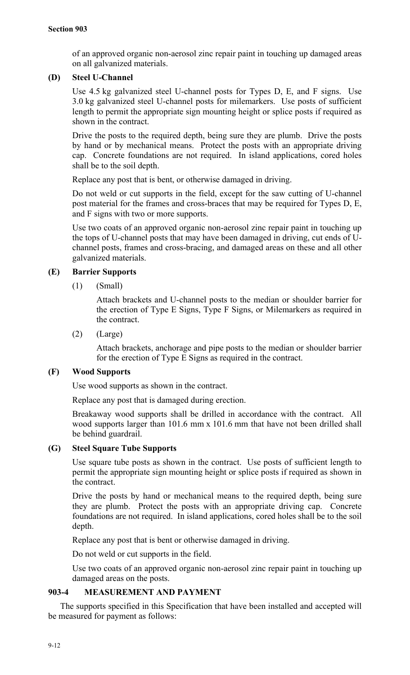of an approved organic non-aerosol zinc repair paint in touching up damaged areas on all galvanized materials.

# **(D) Steel U-Channel**

Use 4.5 kg galvanized steel U-channel posts for Types D, E, and F signs. Use 3.0 kg galvanized steel U-channel posts for milemarkers. Use posts of sufficient length to permit the appropriate sign mounting height or splice posts if required as shown in the contract.

Drive the posts to the required depth, being sure they are plumb. Drive the posts by hand or by mechanical means. Protect the posts with an appropriate driving cap. Concrete foundations are not required. In island applications, cored holes shall be to the soil depth.

Replace any post that is bent, or otherwise damaged in driving.

Do not weld or cut supports in the field, except for the saw cutting of U-channel post material for the frames and cross-braces that may be required for Types D, E, and F signs with two or more supports.

Use two coats of an approved organic non-aerosol zinc repair paint in touching up the tops of U-channel posts that may have been damaged in driving, cut ends of Uchannel posts, frames and cross-bracing, and damaged areas on these and all other galvanized materials.

# **(E) Barrier Supports**

(1) (Small)

Attach brackets and U-channel posts to the median or shoulder barrier for the erection of Type E Signs, Type F Signs, or Milemarkers as required in the contract.

(2) (Large)

Attach brackets, anchorage and pipe posts to the median or shoulder barrier for the erection of Type E Signs as required in the contract.

# **(F) Wood Supports**

Use wood supports as shown in the contract.

Replace any post that is damaged during erection.

Breakaway wood supports shall be drilled in accordance with the contract. All wood supports larger than 101.6 mm x 101.6 mm that have not been drilled shall be behind guardrail.

# **(G) Steel Square Tube Supports**

Use square tube posts as shown in the contract. Use posts of sufficient length to permit the appropriate sign mounting height or splice posts if required as shown in the contract.

Drive the posts by hand or mechanical means to the required depth, being sure they are plumb. Protect the posts with an appropriate driving cap. Concrete foundations are not required. In island applications, cored holes shall be to the soil depth.

Replace any post that is bent or otherwise damaged in driving.

Do not weld or cut supports in the field.

Use two coats of an approved organic non-aerosol zinc repair paint in touching up damaged areas on the posts.

# **903-4 MEASUREMENT AND PAYMENT**

The supports specified in this Specification that have been installed and accepted will be measured for payment as follows: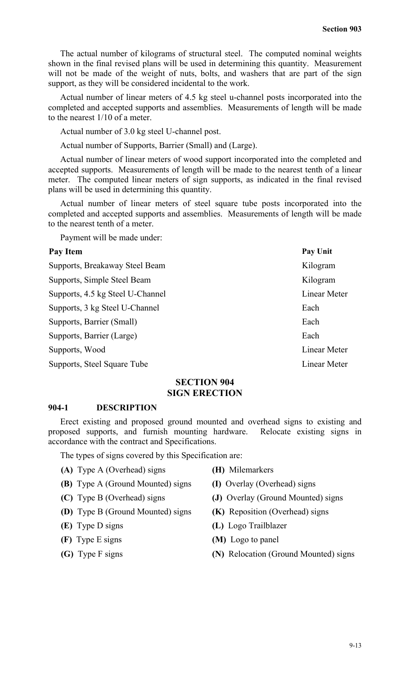The actual number of kilograms of structural steel. The computed nominal weights shown in the final revised plans will be used in determining this quantity. Measurement will not be made of the weight of nuts, bolts, and washers that are part of the sign support, as they will be considered incidental to the work.

Actual number of linear meters of 4.5 kg steel u-channel posts incorporated into the completed and accepted supports and assemblies. Measurements of length will be made to the nearest 1/10 of a meter.

Actual number of 3.0 kg steel U-channel post.

Actual number of Supports, Barrier (Small) and (Large).

Actual number of linear meters of wood support incorporated into the completed and accepted supports. Measurements of length will be made to the nearest tenth of a linear meter. The computed linear meters of sign supports, as indicated in the final revised plans will be used in determining this quantity.

Actual number of linear meters of steel square tube posts incorporated into the completed and accepted supports and assemblies. Measurements of length will be made to the nearest tenth of a meter.

Payment will be made under:

| Pay Item                         | Pay Unit     |
|----------------------------------|--------------|
| Supports, Breakaway Steel Beam   | Kilogram     |
| Supports, Simple Steel Beam      | Kilogram     |
| Supports, 4.5 kg Steel U-Channel | Linear Meter |
| Supports, 3 kg Steel U-Channel   | Each         |
| Supports, Barrier (Small)        | Each         |
| Supports, Barrier (Large)        | Each         |
| Supports, Wood                   | Linear Meter |
| Supports, Steel Square Tube      | Linear Meter |

#### **SECTION 904 SIGN ERECTION**

#### **904-1 DESCRIPTION**

Erect existing and proposed ground mounted and overhead signs to existing and proposed supports, and furnish mounting hardware. Relocate existing signs in accordance with the contract and Specifications.

The types of signs covered by this Specification are:

- **(A)** Type A (Overhead) signs **(H)** Milemarkers
	-
- **(B)** Type A (Ground Mounted) signs **(I)** Overlay (Overhead) signs
- 
- **(D)** Type B (Ground Mounted) signs **(K)** Reposition (Overhead) signs
- 
- 
- 
- 
- 
- **(C)** Type B (Overhead) signs **(J)** Overlay (Ground Mounted) signs
	-
- **(E)** Type D signs **(L)** Logo Trailblazer
- **(F)** Type E signs **(M)** Logo to panel
- **(G)** Type F signs **(N)** Relocation (Ground Mounted) signs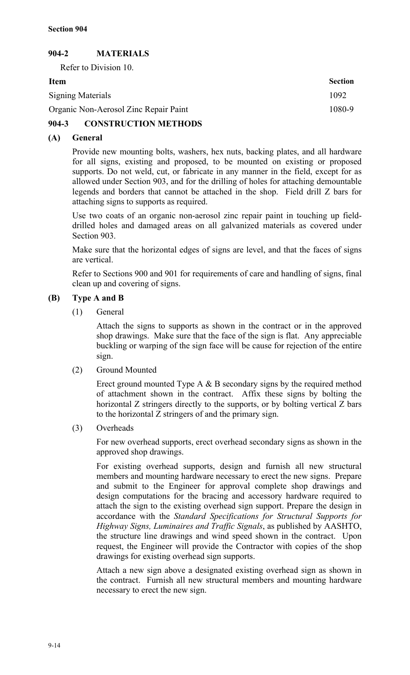# **904-2 MATERIALS**

Refer to Division 10.

| <b>Item</b>                           | <b>Section</b> |
|---------------------------------------|----------------|
| <b>Signing Materials</b>              | 1092           |
| Organic Non-Aerosol Zinc Repair Paint | 1080-9         |
|                                       |                |

# **904-3 CONSTRUCTION METHODS**

# **(A) General**

Provide new mounting bolts, washers, hex nuts, backing plates, and all hardware for all signs, existing and proposed, to be mounted on existing or proposed supports. Do not weld, cut, or fabricate in any manner in the field, except for as allowed under Section 903, and for the drilling of holes for attaching demountable legends and borders that cannot be attached in the shop. Field drill Z bars for attaching signs to supports as required.

Use two coats of an organic non-aerosol zinc repair paint in touching up fielddrilled holes and damaged areas on all galvanized materials as covered under Section 903.

Make sure that the horizontal edges of signs are level, and that the faces of signs are vertical.

Refer to Sections 900 and 901 for requirements of care and handling of signs, final clean up and covering of signs.

# **(B) Type A and B**

(1) General

Attach the signs to supports as shown in the contract or in the approved shop drawings. Make sure that the face of the sign is flat. Any appreciable buckling or warping of the sign face will be cause for rejection of the entire sign.

(2) Ground Mounted

Erect ground mounted Type A & B secondary signs by the required method of attachment shown in the contract. Affix these signs by bolting the horizontal Z stringers directly to the supports, or by bolting vertical Z bars to the horizontal Z stringers of and the primary sign.

(3) Overheads

For new overhead supports, erect overhead secondary signs as shown in the approved shop drawings.

For existing overhead supports, design and furnish all new structural members and mounting hardware necessary to erect the new signs. Prepare and submit to the Engineer for approval complete shop drawings and design computations for the bracing and accessory hardware required to attach the sign to the existing overhead sign support. Prepare the design in accordance with the *Standard Specifications for Structural Supports for Highway Signs, Luminaires and Traffic Signals*, as published by AASHTO, the structure line drawings and wind speed shown in the contract. Upon request, the Engineer will provide the Contractor with copies of the shop drawings for existing overhead sign supports.

Attach a new sign above a designated existing overhead sign as shown in the contract. Furnish all new structural members and mounting hardware necessary to erect the new sign.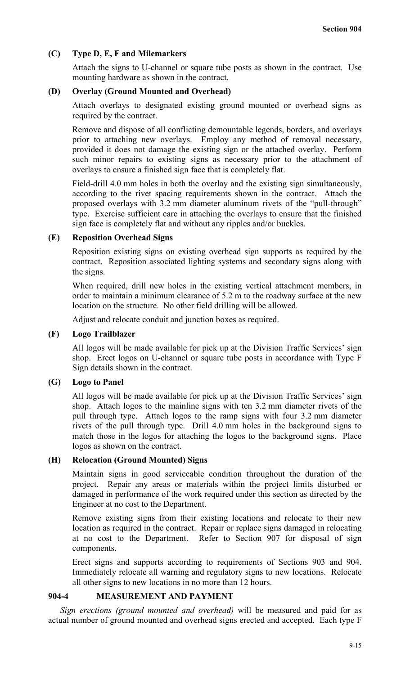# **(C) Type D, E, F and Milemarkers**

Attach the signs to U-channel or square tube posts as shown in the contract. Use mounting hardware as shown in the contract.

## **(D) Overlay (Ground Mounted and Overhead)**

Attach overlays to designated existing ground mounted or overhead signs as required by the contract.

Remove and dispose of all conflicting demountable legends, borders, and overlays prior to attaching new overlays. Employ any method of removal necessary, provided it does not damage the existing sign or the attached overlay. Perform such minor repairs to existing signs as necessary prior to the attachment of overlays to ensure a finished sign face that is completely flat.

Field-drill 4.0 mm holes in both the overlay and the existing sign simultaneously, according to the rivet spacing requirements shown in the contract. Attach the proposed overlays with 3.2 mm diameter aluminum rivets of the "pull-through" type. Exercise sufficient care in attaching the overlays to ensure that the finished sign face is completely flat and without any ripples and/or buckles.

## **(E) Reposition Overhead Signs**

Reposition existing signs on existing overhead sign supports as required by the contract. Reposition associated lighting systems and secondary signs along with the signs.

When required, drill new holes in the existing vertical attachment members, in order to maintain a minimum clearance of 5.2 m to the roadway surface at the new location on the structure. No other field drilling will be allowed.

Adjust and relocate conduit and junction boxes as required.

### **(F) Logo Trailblazer**

All logos will be made available for pick up at the Division Traffic Services' sign shop. Erect logos on U-channel or square tube posts in accordance with Type F Sign details shown in the contract.

### **(G) Logo to Panel**

All logos will be made available for pick up at the Division Traffic Services' sign shop. Attach logos to the mainline signs with ten 3.2 mm diameter rivets of the pull through type. Attach logos to the ramp signs with four 3.2 mm diameter rivets of the pull through type. Drill 4.0 mm holes in the background signs to match those in the logos for attaching the logos to the background signs. Place logos as shown on the contract.

## **(H) Relocation (Ground Mounted) Signs**

Maintain signs in good serviceable condition throughout the duration of the project. Repair any areas or materials within the project limits disturbed or damaged in performance of the work required under this section as directed by the Engineer at no cost to the Department.

Remove existing signs from their existing locations and relocate to their new location as required in the contract. Repair or replace signs damaged in relocating at no cost to the Department. Refer to Section 907 for disposal of sign components.

Erect signs and supports according to requirements of Sections 903 and 904. Immediately relocate all warning and regulatory signs to new locations. Relocate all other signs to new locations in no more than 12 hours.

# **904-4 MEASUREMENT AND PAYMENT**

*Sign erections (ground mounted and overhead)* will be measured and paid for as actual number of ground mounted and overhead signs erected and accepted. Each type F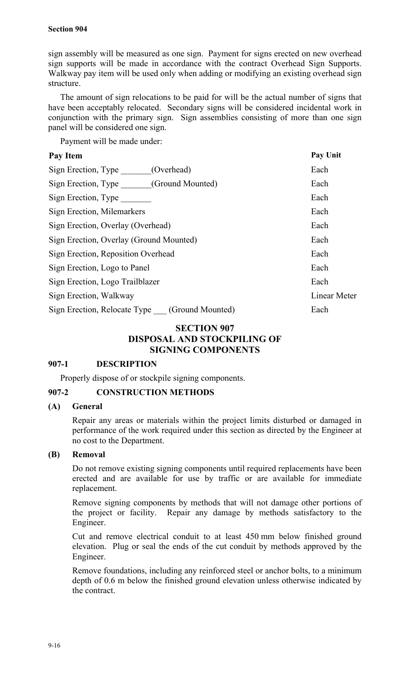sign assembly will be measured as one sign. Payment for signs erected on new overhead sign supports will be made in accordance with the contract Overhead Sign Supports. Walkway pay item will be used only when adding or modifying an existing overhead sign structure.

The amount of sign relocations to be paid for will be the actual number of signs that have been acceptably relocated. Secondary signs will be considered incidental work in conjunction with the primary sign. Sign assemblies consisting of more than one sign panel will be considered one sign.

Payment will be made under:

| Pay Item                                         | Pay Unit     |
|--------------------------------------------------|--------------|
| Sign Erection, Type<br>(Overhead)                | Each         |
| Sign Erection, Type (Ground Mounted)             | Each         |
| Sign Erection, Type                              | Each         |
| Sign Erection, Milemarkers                       | Each         |
| Sign Erection, Overlay (Overhead)                | Each         |
| Sign Erection, Overlay (Ground Mounted)          | Each         |
| Sign Erection, Reposition Overhead               | Each         |
| Sign Erection, Logo to Panel                     | Each         |
| Sign Erection, Logo Trailblazer                  | Each         |
| Sign Erection, Walkway                           | Linear Meter |
| Sign Erection, Relocate Type<br>(Ground Mounted) | Each         |

# **SECTION 907 DISPOSAL AND STOCKPILING OF SIGNING COMPONENTS**

# **907-1 DESCRIPTION**

Properly dispose of or stockpile signing components.

# **907-2 CONSTRUCTION METHODS**

# **(A) General**

Repair any areas or materials within the project limits disturbed or damaged in performance of the work required under this section as directed by the Engineer at no cost to the Department.

# **(B) Removal**

Do not remove existing signing components until required replacements have been erected and are available for use by traffic or are available for immediate replacement.

Remove signing components by methods that will not damage other portions of the project or facility. Repair any damage by methods satisfactory to the Engineer.

Cut and remove electrical conduit to at least 450 mm below finished ground elevation. Plug or seal the ends of the cut conduit by methods approved by the Engineer.

Remove foundations, including any reinforced steel or anchor bolts, to a minimum depth of 0.6 m below the finished ground elevation unless otherwise indicated by the contract.